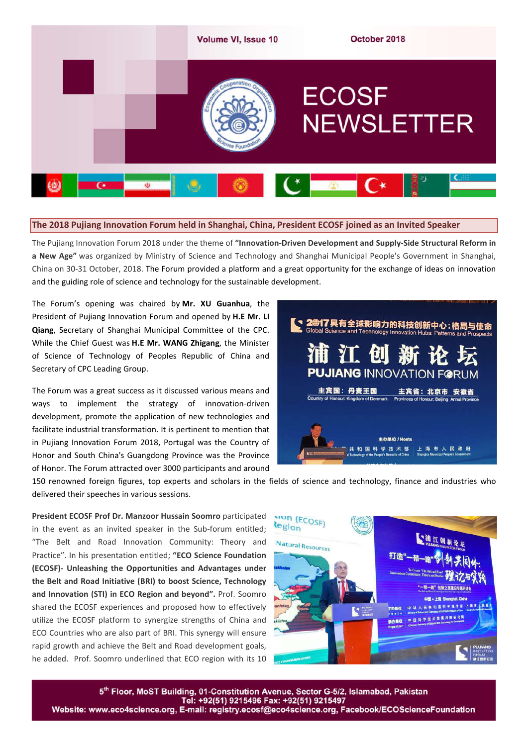

## **The 2018 Pujiang Innovation Forum held in Shanghai, China, President ECOSF joined as an Invited Speaker**

The Pujiang Innovation Forum 2018 under the theme of **"Innovation-Driven Development and Supply-Side Structural Reform in a New Age"** was organized by Ministry of Science and Technology and Shanghai Municipal People's Government in Shanghai, China on 30-31 October, 2018. The Forum provided a platform and a great opportunity for the exchange of ideas on innovation and the guiding role of science and technology for the sustainable development.

The Forum's opening was chaired by **Mr. XU Guanhua**, the President of Pujiang Innovation Forum and opened by **H.E Mr. LI Qiang**, Secretary of Shanghai Municipal Committee of the CPC. While the Chief Guest was **H.E Mr. WANG Zhigang**, the Minister of Science of Technology of Peoples Republic of China and Secretary of CPC Leading Group.

The Forum was a great success as it discussed various means and ways to implement the strategy of innovation-driven development, promote the application of new technologies and facilitate industrial transformation. It is pertinent to mention that in Pujiang Innovation Forum 2018, Portugal was the Country of Honor and South China's Guangdong Province was the Province of Honor. The Forum attracted over 3000 participants and around



150 renowned foreign figures, top experts and scholars in the fields of science and technology, finance and industries who delivered their speeches in various sessions.

**President ECOSF Prof Dr. Manzoor Hussain Soomro** participated in the event as an invited speaker in the Sub-forum entitled; "The Belt and Road Innovation Community: Theory and Practice". In his presentation entitled; **"ECO Science Foundation (ECOSF)- Unleashing the Opportunities and Advantages under the Belt and Road Initiative (BRI) to boost Science, Technology and Innovation (STI) in ECO Region and beyond".** Prof. Soomro shared the ECOSF experiences and proposed how to effectively utilize the ECOSF platform to synergize strengths of China and ECO Countries who are also part of BRI. This synergy will ensure rapid growth and achieve the Belt and Road development goals, he added. Prof. Soomro underlined that ECO region with its 10



5th Floor, MoST Building, 01-Constitution Avenue, Sector G-5/2, Islamabad, Pakistan Website: www.eco4science.org, E-mail: registry.ecosf@eco4science.org, Facebook/ECOScienceFoundation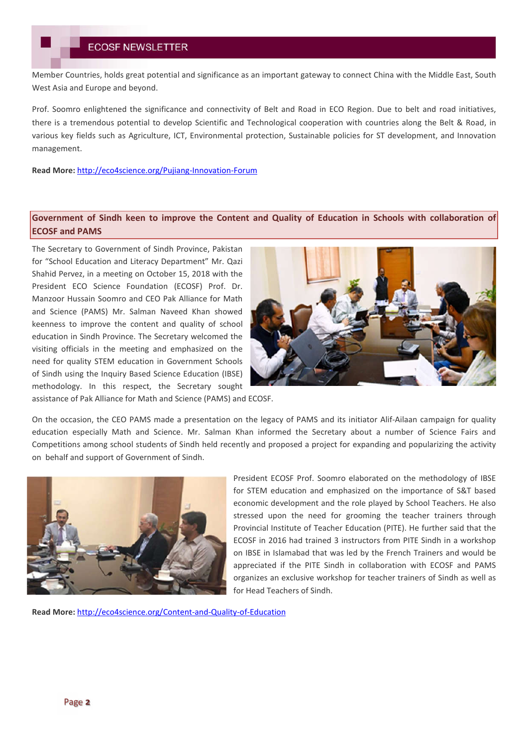Member Countries, holds great potential and significance as an important gateway to connect China with the Middle East, South West Asia and Europe and beyond.

Prof. Soomro enlightened the significance and connectivity of Belt and Road in ECO Region. Due to belt and road initiatives, there is a tremendous potential to develop Scientific and Technological cooperation with countries along the Belt & Road, in various key fields such as Agriculture, ICT, Environmental protection, Sustainable policies for ST development, and Innovation management.

**Read More:** http://eco4science.org/Pujiang-Innovation-Forum

# **Government of Sindh keen to improve the Content and Quality of Education in Schools with collaboration of ECOSF and PAMS**

The Secretary to Government of Sindh Province, Pakistan for "School Education and Literacy Department" Mr. Qazi Shahid Pervez, in a meeting on October 15, 2018 with the President ECO Science Foundation (ECOSF) Prof. Dr. Manzoor Hussain Soomro and CEO Pak Alliance for Math and Science (PAMS) Mr. Salman Naveed Khan showed keenness to improve the content and quality of school education in Sindh Province. The Secretary welcomed the visiting officials in the meeting and emphasized on the need for quality STEM education in Government Schools of Sindh using the Inquiry Based Science Education (IBSE) methodology. In this respect, the Secretary sought assistance of Pak Alliance for Math and Science (PAMS) and ECOSF.



On the occasion, the CEO PAMS made a presentation on the legacy of PAMS and its initiator Alif-Ailaan campaign for quality education especially Math and Science. Mr. Salman Khan informed the Secretary about a number of Science Fairs and Competitions among school students of Sindh held recently and proposed a project for expanding and popularizing the activity on behalf and support of Government of Sindh.



President ECOSF Prof. Soomro elaborated on the methodology of IBSE for STEM education and emphasized on the importance of S&T based economic development and the role played by School Teachers. He also stressed upon the need for grooming the teacher trainers through Provincial Institute of Teacher Education (PITE). He further said that the ECOSF in 2016 had trained 3 instructors from PITE Sindh in a workshop on IBSE in Islamabad that was led by the French Trainers and would be appreciated if the PITE Sindh in collaboration with ECOSF and PAMS organizes an exclusive workshop for teacher trainers of Sindh as well as for Head Teachers of Sindh.

**Read More:** http://eco4science.org/Content-and-Quality-of-Education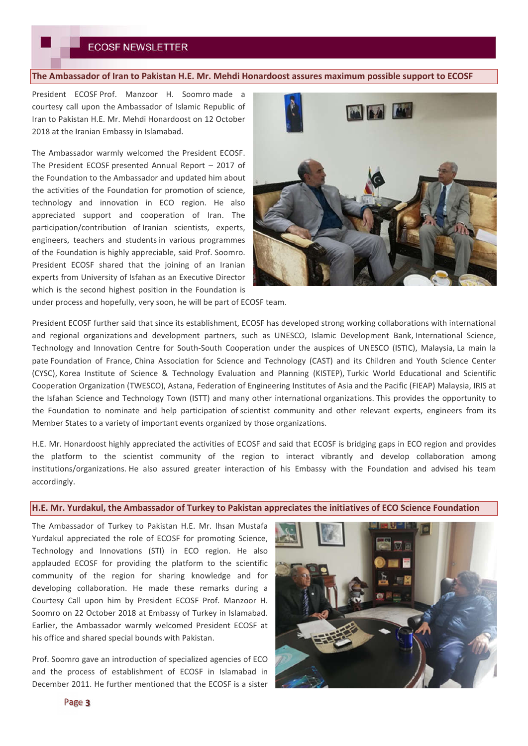## **The Ambassador of Iran to Pakistan H.E. Mr. Mehdi Honardoost assures maximum possible support to ECOSF**

President ECOSF Prof. Manzoor H. Soomro made a courtesy call upon the Ambassador of Islamic Republic of Iran to Pakistan H.E. Mr. Mehdi Honardoost on 12 October 2018 at the Iranian Embassy in Islamabad.

The Ambassador warmly welcomed the President ECOSF. The President ECOSF presented Annual Report – 2017 of the Foundation to the Ambassador and updated him about the activities of the Foundation for promotion of science, technology and innovation in ECO region. He also appreciated support and cooperation of Iran. The participation/contribution of Iranian scientists, experts, engineers, teachers and students in various programmes of the Foundation is highly appreciable, said Prof. Soomro. President ECOSF shared that the joining of an Iranian experts from University of Isfahan as an Executive Director which is the second highest position in the Foundation is



under process and hopefully, very soon, he will be part of ECOSF team.

President ECOSF further said that since its establishment, ECOSF has developed strong working collaborations with international and regional organizations and development partners, such as UNESCO, Islamic Development Bank, International Science, Technology and Innovation Centre for South-South Cooperation under the auspices of UNESCO (ISTIC), Malaysia, La main la pate Foundation of France, China Association for Science and Technology (CAST) and its Children and Youth Science Center (CYSC), Korea Institute of Science & Technology Evaluation and Planning (KISTEP), Turkic World Educational and Scientific Cooperation Organization (TWESCO), Astana, Federation of Engineering Institutes of Asia and the Pacific (FIEAP) Malaysia, IRIS at the Isfahan Science and Technology Town (ISTT) and many other international organizations. This provides the opportunity to the Foundation to nominate and help participation of scientist community and other relevant experts, engineers from its Member States to a variety of important events organized by those organizations.

H.E. Mr. Honardoost highly appreciated the activities of ECOSF and said that ECOSF is bridging gaps in ECO region and provides the platform to the scientist community of the region to interact vibrantly and develop collaboration among institutions/organizations. He also assured greater interaction of his Embassy with the Foundation and advised his team accordingly.

## **H.E. Mr. Yurdakul, the Ambassador of Turkey to Pakistan appreciates the initiatives of ECO Science Foundation**

The Ambassador of Turkey to Pakistan H.E. Mr. Ihsan Mustafa Yurdakul appreciated the role of ECOSF for promoting Science, Technology and Innovations (STI) in ECO region. He also applauded ECOSF for providing the platform to the scientific community of the region for sharing knowledge and for developing collaboration. He made these remarks during a Courtesy Call upon him by President ECOSF Prof. Manzoor H. Soomro on 22 October 2018 at Embassy of Turkey in Islamabad. Earlier, the Ambassador warmly welcomed President ECOSF at his office and shared special bounds with Pakistan.

Prof. Soomro gave an introduction of specialized agencies of ECO and the process of establishment of ECOSF in Islamabad in December 2011. He further mentioned that the ECOSF is a sister

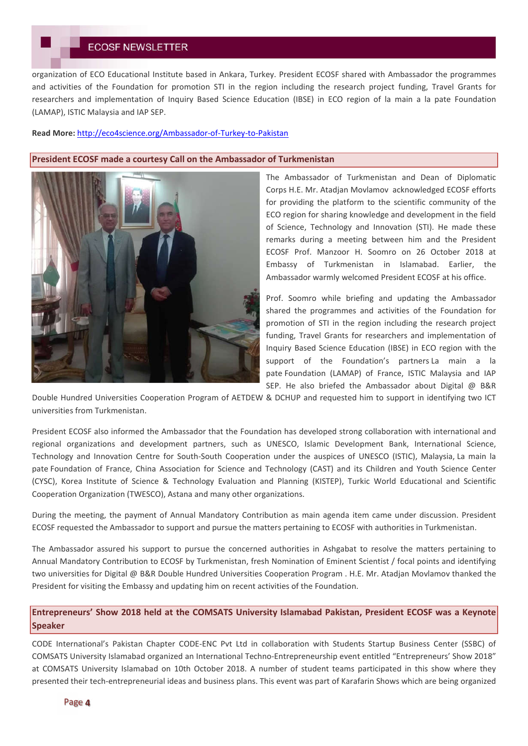## **ECOSF NEWSLETTER**

organization of ECO Educational Institute based in Ankara, Turkey. President ECOSF shared with Ambassador the programmes and activities of the Foundation for promotion STI in the region including the research project funding, Travel Grants for researchers and implementation of Inquiry Based Science Education (IBSE) in ECO region of la main a la pate Foundation (LAMAP), ISTIC Malaysia and IAP SEP.

#### **Read More:** http://eco4science.org/Ambassador-of-Turkey-to-Pakistan

## **President ECOSF made a courtesy Call on the Ambassador of Turkmenistan**



The Ambassador of Turkmenistan and Dean of Diplomatic Corps H.E. Mr. Atadjan Movlamov acknowledged ECOSF efforts for providing the platform to the scientific community of the ECO region for sharing knowledge and development in the field of Science, Technology and Innovation (STI). He made these remarks during a meeting between him and the President ECOSF Prof. Manzoor H. Soomro on 26 October 2018 at Embassy of Turkmenistan in Islamabad. Earlier, the Ambassador warmly welcomed President ECOSF at his office.

Prof. Soomro while briefing and updating the Ambassador shared the programmes and activities of the Foundation for promotion of STI in the region including the research project funding, Travel Grants for researchers and implementation of Inquiry Based Science Education (IBSE) in ECO region with the support of the Foundation's partners La main a la pate Foundation (LAMAP) of France, ISTIC Malaysia and IAP SEP. He also briefed the Ambassador about Digital @ B&R

Double Hundred Universities Cooperation Program of AETDEW & DCHUP and requested him to support in identifying two ICT universities from Turkmenistan.

President ECOSF also informed the Ambassador that the Foundation has developed strong collaboration with international and regional organizations and development partners, such as UNESCO, Islamic Development Bank, International Science, Technology and Innovation Centre for South-South Cooperation under the auspices of UNESCO (ISTIC), Malaysia, La main la pate Foundation of France, China Association for Science and Technology (CAST) and its Children and Youth Science Center (CYSC), Korea Institute of Science & Technology Evaluation and Planning (KISTEP), Turkic World Educational and Scientific Cooperation Organization (TWESCO), Astana and many other organizations.

During the meeting, the payment of Annual Mandatory Contribution as main agenda item came under discussion. President ECOSF requested the Ambassador to support and pursue the matters pertaining to ECOSF with authorities in Turkmenistan.

The Ambassador assured his support to pursue the concerned authorities in Ashgabat to resolve the matters pertaining to Annual Mandatory Contribution to ECOSF by Turkmenistan, fresh Nomination of Eminent Scientist / focal points and identifying two universities for Digital @ B&R Double Hundred Universities Cooperation Program . H.E. Mr. Atadjan Movlamov thanked the President for visiting the Embassy and updating him on recent activities of the Foundation.

# **Entrepreneurs' Show 2018 held at the COMSATS University Islamabad Pakistan, President ECOSF was a Keynote Speaker**

CODE International's Pakistan Chapter CODE-ENC Pvt Ltd in collaboration with Students Startup Business Center (SSBC) of COMSATS University Islamabad organized an International Techno-Entrepreneurship event entitled "Entrepreneurs' Show 2018" at COMSATS University Islamabad on 10th October 2018. A number of student teams participated in this show where they presented their tech-entrepreneurial ideas and business plans. This event was part of Karafarin Shows which are being organized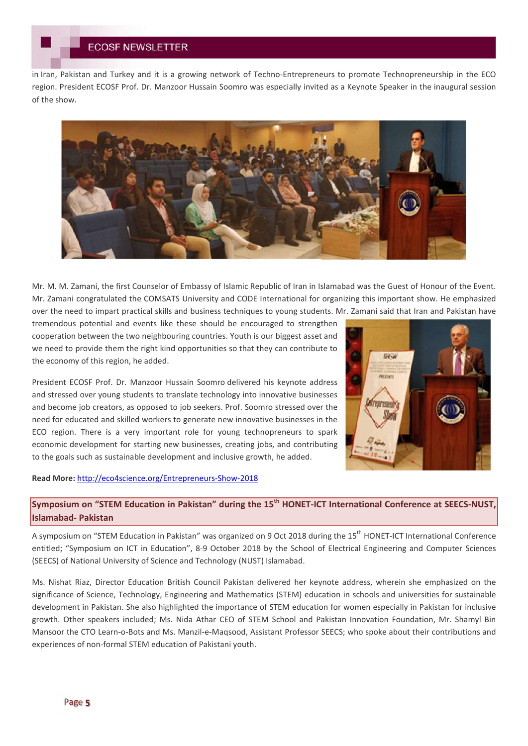in Iran, Pakistan and Turkey and it is a growing network of Techno-Entrepreneurs to promote Technopreneurship in the ECO region. President ECOSF Prof. Dr. Manzoor Hussain Soomro was especially invited as a Keynote Speaker in the inaugural session of the show.



Mr. M. M. Zamani, the first Counselor of Embassy of Islamic Republic of Iran in Islamabad was the Guest of Honour of the Event. Mr. Zamani congratulated the COMSATS University and CODE International for organizing this important show. He emphasized over the need to impart practical skills and business techniques to young students. Mr. Zamani said that Iran and Pakistan have

tremendous potential and events like these should be encouraged to strengthen cooperation between the two neighbouring countries. Youth is our biggest asset and we need to provide them the right kind opportunities so that they can contribute to the economy of this region, he added.

President ECOSF Prof. Dr. Manzoor Hussain Soomro delivered his keynote address and stressed over young students to translate technology into innovative businesses and become job creators, as opposed to job seekers. Prof. Soomro stressed over the need for educated and skilled workers to generate new innovative businesses in the ECO region. There is a very important role for young technopreneurs to spark economic development for starting new businesses, creating jobs, and contributing to the goals such as sustainable development and inclusive growth, he added.

## **Read More:** http://eco4science.org/Entrepreneurs-Show-2018



# **Symposium on "STEM Education in Pakistan" during the 15th HONET-ICT International Conference at SEECS-NUST, Islamabad- Pakistan**

A symposium on "STEM Education in Pakistan" was organized on 9 Oct 2018 during the 15<sup>th</sup> HONET-ICT International Conference entitled; "Symposium on ICT in Education", 8-9 October 2018 by the School of Electrical Engineering and Computer Sciences (SEECS) of National University of Science and Technology (NUST) Islamabad.

Ms. Nishat Riaz, Director Education British Council Pakistan delivered her keynote address, wherein she emphasized on the significance of Science, Technology, Engineering and Mathematics (STEM) education in schools and universities for sustainable development in Pakistan. She also highlighted the importance of STEM education for women especially in Pakistan for inclusive growth. Other speakers included; Ms. Nida Athar CEO of STEM School and Pakistan Innovation Foundation, Mr. Shamyl Bin Mansoor the CTO Learn-o-Bots and Ms. Manzil-e-Maqsood, Assistant Professor SEECS; who spoke about their contributions and experiences of non-formal STEM education of Pakistani youth.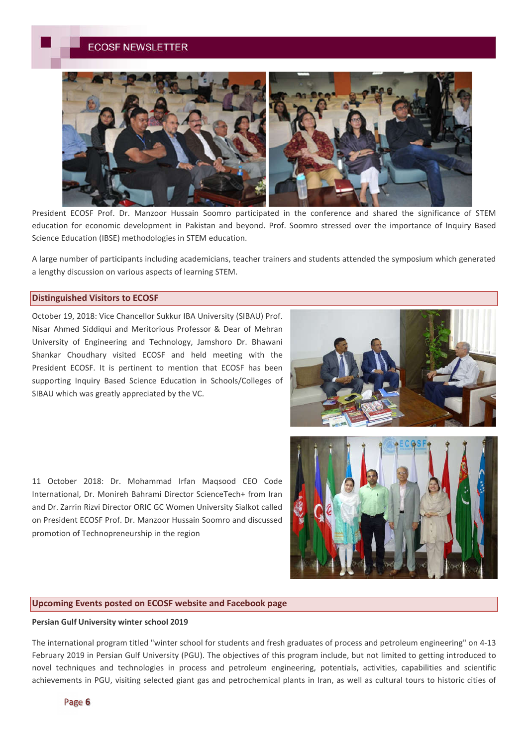# **ECOSF NEWSLETTER**



President ECOSF Prof. Dr. Manzoor Hussain Soomro participated in the conference and shared the significance of STEM education for economic development in Pakistan and beyond. Prof. Soomro stressed over the importance of Inquiry Based Science Education (IBSE) methodologies in STEM education.

A large number of participants including academicians, teacher trainers and students attended the symposium which generated a lengthy discussion on various aspects of learning STEM.

## **Distinguished Visitors to ECOSF**

October 19, 2018: Vice Chancellor Sukkur IBA University (SIBAU) Prof. Nisar Ahmed Siddiqui and Meritorious Professor & Dear of Mehran University of Engineering and Technology, Jamshoro Dr. Bhawani Shankar Choudhary visited ECOSF and held meeting with the President ECOSF. It is pertinent to mention that ECOSF has been supporting Inquiry Based Science Education in Schools/Colleges of SIBAU which was greatly appreciated by the VC.

11 October 2018: Dr. Mohammad Irfan Maqsood CEO Code International, Dr. Monireh Bahrami Director ScienceTech+ from Iran and Dr. Zarrin Rizvi Director ORIC GC Women University Sialkot called on President ECOSF Prof. Dr. Manzoor Hussain Soomro and discussed promotion of Technopreneurship in the region



## **Upcoming Events posted on ECOSF website and Facebook page**

## **Persian Gulf University winter school 2019**

The international program titled "winter school for students and fresh graduates of process and petroleum engineering" on 4-13 February 2019 in Persian Gulf University (PGU). The objectives of this program include, but not limited to getting introduced to novel techniques and technologies in process and petroleum engineering, potentials, activities, capabilities and scientific achievements in PGU, visiting selected giant gas and petrochemical plants in Iran, as well as cultural tours to historic cities of